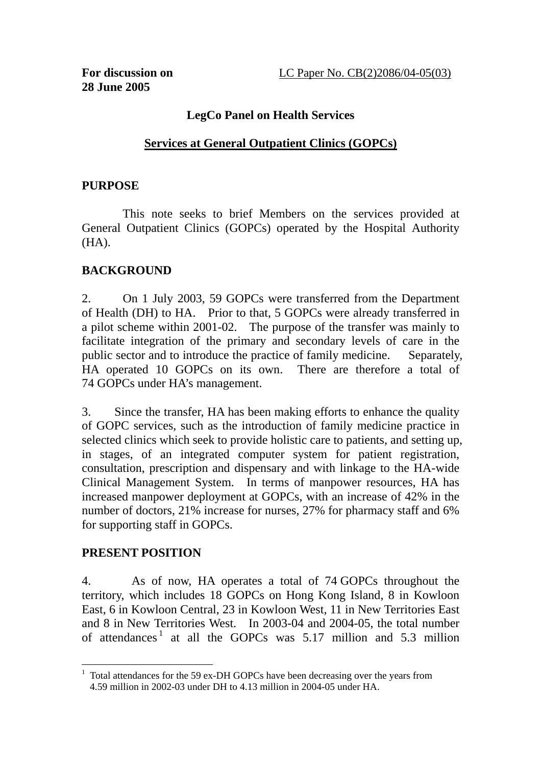## **LegCo Panel on Health Services**

## **Services at General Outpatient Clinics (GOPCs)**

#### **PURPOSE**

This note seeks to brief Members on the services provided at General Outpatient Clinics (GOPCs) operated by the Hospital Authority (HA).

#### **BACKGROUND**

2. On 1 July 2003, 59 GOPCs were transferred from the Department of Health (DH) to HA. Prior to that, 5 GOPCs were already transferred in a pilot scheme within 2001-02. The purpose of the transfer was mainly to facilitate integration of the primary and secondary levels of care in the public sector and to introduce the practice of family medicine. Separately, HA operated 10 GOPCs on its own. There are therefore a total of 74 GOPCs under HA's management.

3. Since the transfer, HA has been making efforts to enhance the quality of GOPC services, such as the introduction of family medicine practice in selected clinics which seek to provide holistic care to patients, and setting up, in stages, of an integrated computer system for patient registration, consultation, prescription and dispensary and with linkage to the HA-wide Clinical Management System. In terms of manpower resources, HA has increased manpower deployment at GOPCs, with an increase of 42% in the number of doctors, 21% increase for nurses, 27% for pharmacy staff and 6% for supporting staff in GOPCs.

#### **PRESENT POSITION**

 $\overline{a}$ 

4. As of now, HA operates a total of 74 GOPCs throughout the territory, which includes 18 GOPCs on Hong Kong Island, 8 in Kowloon East, 6 in Kowloon Central, 23 in Kowloon West, 11 in New Territories East and 8 in New Territories West. In 2003-04 and 2004-05, the total number of attendances<sup>1</sup> at all the GOPCs was  $5.17$  million and  $5.3$  million

<sup>&</sup>lt;sup>1</sup> Total attendances for the 59 ex-DH GOPCs have been decreasing over the years from 4.59 million in 2002-03 under DH to 4.13 million in 2004-05 under HA.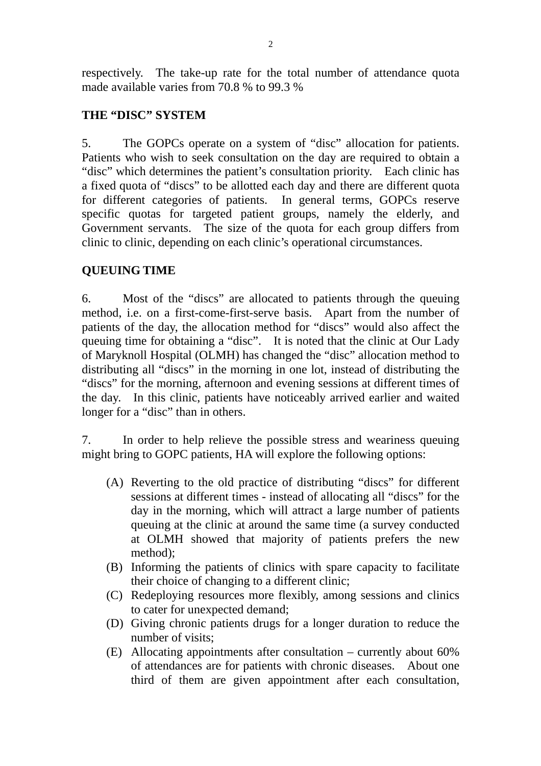respectively. The take-up rate for the total number of attendance quota made available varies from 70.8 % to 99.3 %

# **THE "DISC" SYSTEM**

5. The GOPCs operate on a system of "disc" allocation for patients. Patients who wish to seek consultation on the day are required to obtain a "disc" which determines the patient's consultation priority. Each clinic has a fixed quota of "discs" to be allotted each day and there are different quota for different categories of patients. In general terms, GOPCs reserve specific quotas for targeted patient groups, namely the elderly, and Government servants. The size of the quota for each group differs from clinic to clinic, depending on each clinic's operational circumstances.

# **QUEUING TIME**

6. Most of the "discs" are allocated to patients through the queuing method, i.e. on a first-come-first-serve basis. Apart from the number of patients of the day, the allocation method for "discs" would also affect the queuing time for obtaining a "disc". It is noted that the clinic at Our Lady of Maryknoll Hospital (OLMH) has changed the "disc" allocation method to distributing all "discs" in the morning in one lot, instead of distributing the "discs" for the morning, afternoon and evening sessions at different times of the day. In this clinic, patients have noticeably arrived earlier and waited longer for a "disc" than in others.

7. In order to help relieve the possible stress and weariness queuing might bring to GOPC patients, HA will explore the following options:

- (A) Reverting to the old practice of distributing "discs" for different sessions at different times - instead of allocating all "discs" for the day in the morning, which will attract a large number of patients queuing at the clinic at around the same time (a survey conducted at OLMH showed that majority of patients prefers the new method);
- (B) Informing the patients of clinics with spare capacity to facilitate their choice of changing to a different clinic;
- (C) Redeploying resources more flexibly, among sessions and clinics to cater for unexpected demand;
- (D) Giving chronic patients drugs for a longer duration to reduce the number of visits;
- (E) Allocating appointments after consultation currently about 60% of attendances are for patients with chronic diseases. About one third of them are given appointment after each consultation,